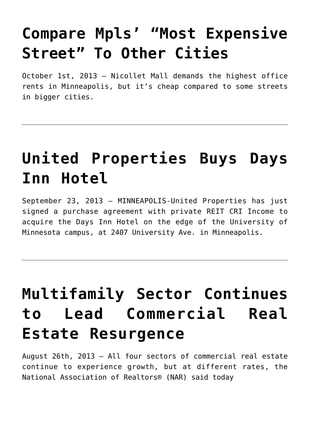# **[Compare Mpls' "Most Expensive](https://resultsrealestateinc.com/in-compare-mpls-most-expensive/) [Street" To Other Cities](https://resultsrealestateinc.com/in-compare-mpls-most-expensive/)**

October 1st, 2013 – Nicollet Mall demands the highest office rents in Minneapolis, but it's cheap compared to some streets in bigger cities.

#### **[United Properties Buys Days](https://resultsrealestateinc.com/in-united-properties-buys-days/) [Inn Hotel](https://resultsrealestateinc.com/in-united-properties-buys-days/)**

September 23, 2013 – MINNEAPOLIS-United Properties has just signed a purchase agreement with private REIT CRI Income to acquire the Days Inn Hotel on the edge of the University of Minnesota campus, at 2407 University Ave. in Minneapolis.

# **[Multifamily Sector Continues](https://resultsrealestateinc.com/in-multifamily-sector-continues/) [to Lead Commercial Real](https://resultsrealestateinc.com/in-multifamily-sector-continues/) [Estate Resurgence](https://resultsrealestateinc.com/in-multifamily-sector-continues/)**

August 26th, 2013 – All four sectors of commercial real estate continue to experience growth, but at different rates, the National Association of Realtors® (NAR) said today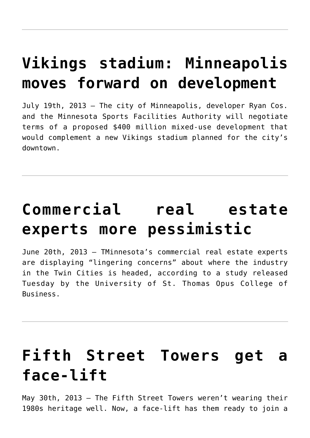### **[Vikings stadium: Minneapolis](https://resultsrealestateinc.com/in-vikings-stadium-minneapolis/) [moves forward on development](https://resultsrealestateinc.com/in-vikings-stadium-minneapolis/)**

July 19th, 2013 – The city of Minneapolis, developer Ryan Cos. and the Minnesota Sports Facilities Authority will negotiate terms of a proposed \$400 million mixed-use development that would complement a new Vikings stadium planned for the city's downtown.

## **[Commercial real estate](https://resultsrealestateinc.com/in-commercial-real-estate-experts/) [experts more pessimistic](https://resultsrealestateinc.com/in-commercial-real-estate-experts/)**

June 20th, 2013 – TMinnesota's commercial real estate experts are displaying "lingering concerns" about where the industry in the Twin Cities is headed, according to a study released Tuesday by the University of St. Thomas Opus College of Business.

### **[Fifth Street Towers get a](https://resultsrealestateinc.com/in-fifth-street-towers/) [face-lift](https://resultsrealestateinc.com/in-fifth-street-towers/)**

May 30th, 2013 – The Fifth Street Towers weren't wearing their 1980s heritage well. Now, a face-lift has them ready to join a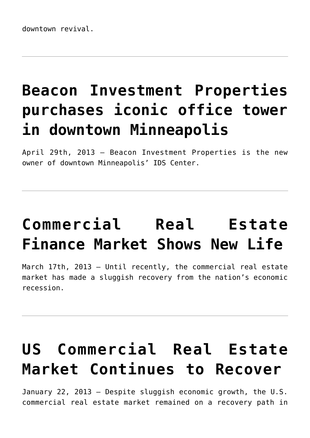# **[Beacon Investment Properties](https://resultsrealestateinc.com/in-beacon-investment-properties/) [purchases iconic office tower](https://resultsrealestateinc.com/in-beacon-investment-properties/) [in downtown Minneapolis](https://resultsrealestateinc.com/in-beacon-investment-properties/)**

April 29th, 2013 – Beacon Investment Properties is the new owner of downtown Minneapolis' IDS Center.

# **[Commercial Real Estate](https://resultsrealestateinc.com/in-commercial-real-estate-finance/) [Finance Market Shows New Life](https://resultsrealestateinc.com/in-commercial-real-estate-finance/)**

March 17th, 2013 – Until recently, the commercial real estate market has made a sluggish recovery from the nation's economic recession.

## **[US Commercial Real Estate](https://resultsrealestateinc.com/in-us-commercial-real-estate/) [Market Continues to Recover](https://resultsrealestateinc.com/in-us-commercial-real-estate/)**

January 22, 2013 – Despite sluggish economic growth, the U.S. commercial real estate market remained on a recovery path in